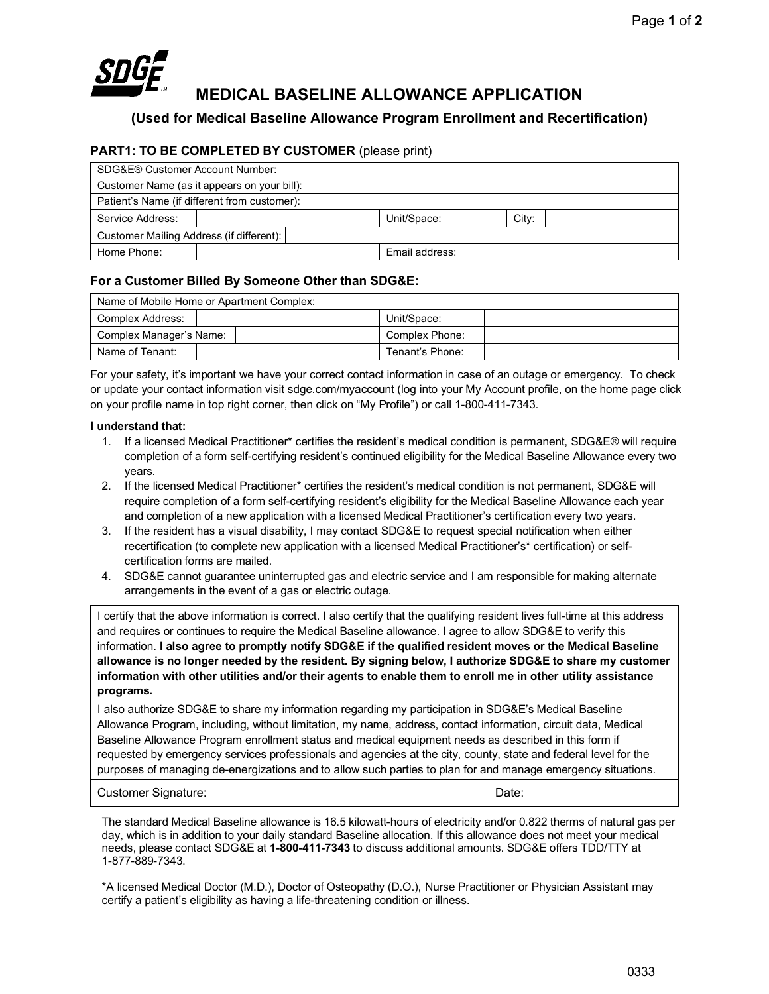

# **MEDICAL BASELINE ALLOWANCE APPLICATION**

**(Used for Medical Baseline Allowance Program Enrollment and Recertification)**

# **PART1: TO BE COMPLETED BY CUSTOMER** (please print)

| SDG&E® Customer Account Number:             |                                              |  |                |       |
|---------------------------------------------|----------------------------------------------|--|----------------|-------|
| Customer Name (as it appears on your bill): |                                              |  |                |       |
|                                             | Patient's Name (if different from customer): |  |                |       |
| Service Address:                            |                                              |  | Unit/Space:    | City: |
| Customer Mailing Address (if different):    |                                              |  |                |       |
| Home Phone:                                 |                                              |  | Email address: |       |

# **For a Customer Billed By Someone Other than SDG&E:**

| Name of Mobile Home or Apartment Complex: |  |                 |  |  |
|-------------------------------------------|--|-----------------|--|--|
| Complex Address:                          |  | Unit/Space:     |  |  |
| Complex Manager's Name:                   |  | Complex Phone:  |  |  |
| Name of Tenant:                           |  | Tenant's Phone: |  |  |

For your safety, it's important we have your correct contact information in case of an outage or emergency. To check or update your contact information visit sdge.com/myaccount (log into your My Account profile, on the home page click on your profile name in top right corner, then click on "My Profile") or call 1-800-411-7343.

### **I understand that:**

- 1. If a licensed Medical Practitioner\* certifies the resident's medical condition is permanent, SDG&E® will require completion of a form self-certifying resident's continued eligibility for the Medical Baseline Allowance every two years.
- 2. If the licensed Medical Practitioner\* certifies the resident's medical condition is not permanent, SDG&E will require completion of a form self-certifying resident's eligibility for the Medical Baseline Allowance each year and completion of a new application with a licensed Medical Practitioner's certification every two years.
- 3. If the resident has a visual disability, I may contact SDG&E to request special notification when either recertification (to complete new application with a licensed Medical Practitioner's\* certification) or selfcertification forms are mailed.
- 4. SDG&E cannot guarantee uninterrupted gas and electric service and I am responsible for making alternate arrangements in the event of a gas or electric outage.

I certify that the above information is correct. I also certify that the qualifying resident lives full-time at this address and requires or continues to require the Medical Baseline allowance. I agree to allow SDG&E to verify this information. **I also agree to promptly notify SDG&E if the qualified resident moves or the Medical Baseline allowance is no longer needed by the resident. By signing below, I authorize SDG&E to share my customer information with other utilities and/or their agents to enable them to enroll me in other utility assistance programs.**

I also authorize SDG&E to share my information regarding my participation in SDG&E's Medical Baseline Allowance Program, including, without limitation, my name, address, contact information, circuit data, Medical Baseline Allowance Program enrollment status and medical equipment needs as described in this form if requested by emergency services professionals and agencies at the city, county, state and federal level for the purposes of managing de-energizations and to allow such parties to plan for and manage emergency situations.

| <b>Customer Signature:</b> |  | Date: |  |
|----------------------------|--|-------|--|
|----------------------------|--|-------|--|

The standard Medical Baseline allowance is 16.5 kilowatt-hours of electricity and/or 0.822 therms of natural gas per day, which is in addition to your daily standard Baseline allocation. If this allowance does not meet your medical needs, please contact SDG&E at **1-800-411-7343** to discuss additional amounts. SDG&E offers TDD/TTY at 1-877-889-7343.

\*A licensed Medical Doctor (M.D.), Doctor of Osteopathy (D.O.), Nurse Practitioner or Physician Assistant may certify a patient's eligibility as having a life-threatening condition or illness.